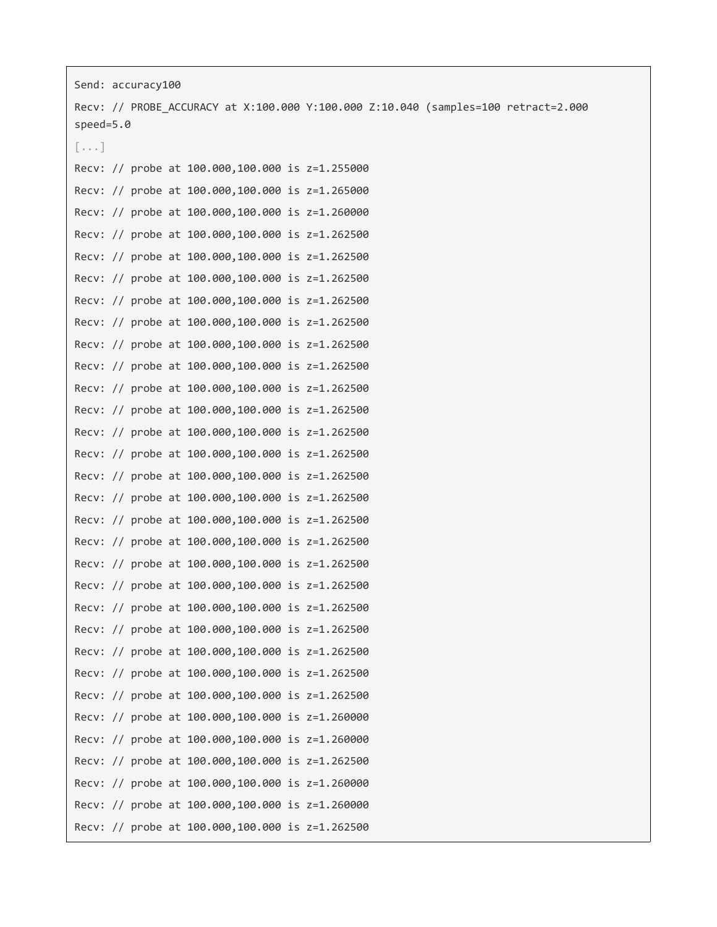| Send: accuracy100 |  |                                                 |                                                                                    |  |
|-------------------|--|-------------------------------------------------|------------------------------------------------------------------------------------|--|
|                   |  |                                                 | Recv: // PROBE_ACCURACY at X:100.000 Y:100.000 Z:10.040 (samples=100 retract=2.000 |  |
| $speed=5.0$       |  |                                                 |                                                                                    |  |
| $[\ldots]$        |  |                                                 |                                                                                    |  |
|                   |  | Recv: // probe at 100.000,100.000 is z=1.255000 |                                                                                    |  |
|                   |  | Recv: // probe at 100.000,100.000 is z=1.265000 |                                                                                    |  |
|                   |  | Recv: // probe at 100.000,100.000 is z=1.260000 |                                                                                    |  |
|                   |  | Recv: // probe at 100.000,100.000 is z=1.262500 |                                                                                    |  |
|                   |  | Recv: // probe at 100.000,100.000 is z=1.262500 |                                                                                    |  |
|                   |  | Recv: // probe at 100.000,100.000 is z=1.262500 |                                                                                    |  |
|                   |  | Recv: // probe at 100.000,100.000 is z=1.262500 |                                                                                    |  |
|                   |  | Recv: // probe at 100.000,100.000 is z=1.262500 |                                                                                    |  |
|                   |  | Recv: // probe at 100.000,100.000 is z=1.262500 |                                                                                    |  |
|                   |  | Recv: // probe at 100.000,100.000 is z=1.262500 |                                                                                    |  |
|                   |  | Recv: // probe at 100.000,100.000 is z=1.262500 |                                                                                    |  |
|                   |  | Recv: // probe at 100.000,100.000 is z=1.262500 |                                                                                    |  |
|                   |  | Recv: // probe at 100.000,100.000 is z=1.262500 |                                                                                    |  |
|                   |  | Recv: // probe at 100.000,100.000 is z=1.262500 |                                                                                    |  |
|                   |  | Recv: // probe at 100.000,100.000 is z=1.262500 |                                                                                    |  |
|                   |  | Recv: // probe at 100.000,100.000 is z=1.262500 |                                                                                    |  |
|                   |  | Recv: // probe at 100.000,100.000 is z=1.262500 |                                                                                    |  |
|                   |  | Recv: // probe at 100.000,100.000 is z=1.262500 |                                                                                    |  |
|                   |  | Recv: // probe at 100.000,100.000 is z=1.262500 |                                                                                    |  |
|                   |  | Recv: // probe at 100.000,100.000 is z=1.262500 |                                                                                    |  |
|                   |  | Recv: // probe at 100.000,100.000 is z=1.262500 |                                                                                    |  |
|                   |  | Recv: // probe at 100.000,100.000 is z=1.262500 |                                                                                    |  |
|                   |  | Recv: // probe at 100.000,100.000 is z=1.262500 |                                                                                    |  |
|                   |  | Recv: // probe at 100.000,100.000 is z=1.262500 |                                                                                    |  |
|                   |  | Recv: // probe at 100.000,100.000 is z=1.262500 |                                                                                    |  |
|                   |  | Recv: // probe at 100.000,100.000 is z=1.260000 |                                                                                    |  |
|                   |  | Recv: // probe at 100.000,100.000 is z=1.260000 |                                                                                    |  |
|                   |  | Recv: // probe at 100.000,100.000 is z=1.262500 |                                                                                    |  |
|                   |  | Recv: // probe at 100.000,100.000 is z=1.260000 |                                                                                    |  |
|                   |  | Recv: // probe at 100.000,100.000 is z=1.260000 |                                                                                    |  |
|                   |  | Recv: // probe at 100.000,100.000 is z=1.262500 |                                                                                    |  |
|                   |  |                                                 |                                                                                    |  |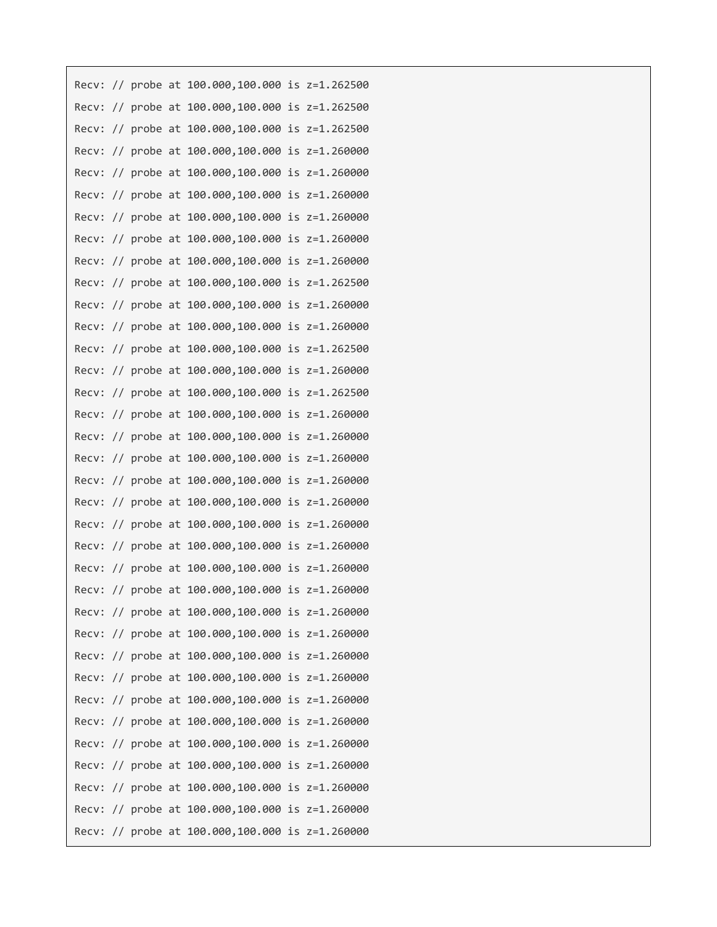|       |  | Recv: // probe at 100.000,100.000 is z=1.262500 |  |
|-------|--|-------------------------------------------------|--|
|       |  | Recv: // probe at 100.000,100.000 is z=1.262500 |  |
|       |  | Recv: // probe at 100.000,100.000 is z=1.262500 |  |
|       |  | Recv: // probe at 100.000,100.000 is z=1.260000 |  |
|       |  | Recv: // probe at 100.000,100.000 is z=1.260000 |  |
|       |  | Recv: // probe at 100.000,100.000 is z=1.260000 |  |
|       |  | Recv: // probe at 100.000,100.000 is z=1.260000 |  |
|       |  | Recv: // probe at 100.000,100.000 is z=1.260000 |  |
|       |  | Recv: // probe at 100.000,100.000 is z=1.260000 |  |
|       |  | Recv: // probe at 100.000,100.000 is z=1.262500 |  |
| Recv: |  | // probe at 100.000,100.000 is z=1.260000       |  |
|       |  | Recv: // probe at 100.000,100.000 is z=1.260000 |  |
|       |  | Recv: // probe at 100.000,100.000 is z=1.262500 |  |
|       |  | Recv: // probe at 100.000,100.000 is z=1.260000 |  |
|       |  | Recv: // probe at 100.000,100.000 is z=1.262500 |  |
|       |  | Recv: // probe at 100.000,100.000 is z=1.260000 |  |
|       |  | Recv: // probe at 100.000,100.000 is z=1.260000 |  |
|       |  | Recv: // probe at 100.000,100.000 is z=1.260000 |  |
|       |  | Recv: // probe at 100.000,100.000 is z=1.260000 |  |
|       |  | Recv: // probe at 100.000,100.000 is z=1.260000 |  |
|       |  | Recv: // probe at 100.000,100.000 is z=1.260000 |  |
|       |  | Recv: // probe at 100.000,100.000 is z=1.260000 |  |
|       |  | Recv: // probe at 100.000,100.000 is z=1.260000 |  |
|       |  | Recv: // probe at 100.000,100.000 is z=1.260000 |  |
|       |  | Recv: // probe at 100.000,100.000 is z=1.260000 |  |
|       |  | Recv: // probe at 100.000,100.000 is z=1.260000 |  |
|       |  | Recv: // probe at 100.000,100.000 is z=1.260000 |  |
|       |  | Recv: // probe at 100.000,100.000 is z=1.260000 |  |
|       |  | Recv: // probe at 100.000,100.000 is z=1.260000 |  |
|       |  | Recv: // probe at 100.000,100.000 is z=1.260000 |  |
|       |  | Recv: // probe at 100.000,100.000 is z=1.260000 |  |
|       |  | Recv: // probe at 100.000,100.000 is z=1.260000 |  |
|       |  | Recv: // probe at 100.000,100.000 is z=1.260000 |  |
|       |  | Recv: // probe at 100.000,100.000 is z=1.260000 |  |
|       |  | Recv: // probe at 100.000,100.000 is z=1.260000 |  |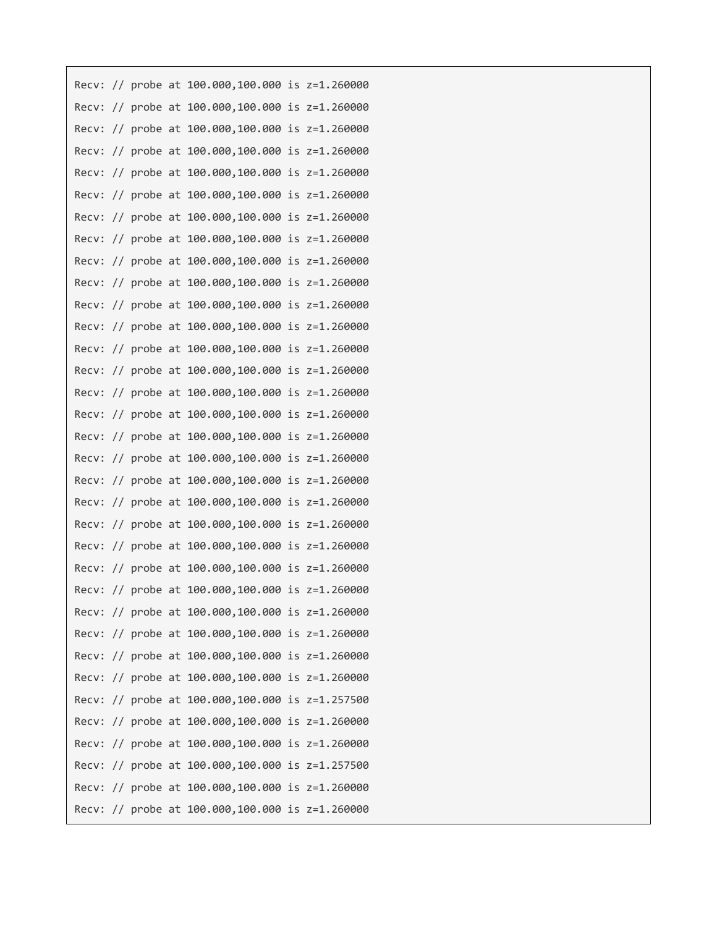|       |  | Recv: // probe at 100.000,100.000 is z=1.260000 |  |
|-------|--|-------------------------------------------------|--|
|       |  | Recv: // probe at 100.000,100.000 is z=1.260000 |  |
| Recv: |  | // probe at 100.000,100.000 is z=1.260000       |  |
| Recv: |  | // probe at 100.000,100.000 is z=1.260000       |  |
|       |  | Recv: // probe at 100.000,100.000 is z=1.260000 |  |
|       |  | Recv: // probe at 100.000,100.000 is z=1.260000 |  |
|       |  | Recv: // probe at 100.000,100.000 is z=1.260000 |  |
|       |  | Recv: // probe at 100.000,100.000 is z=1.260000 |  |
| Recv: |  | // probe at 100.000,100.000 is z=1.260000       |  |
|       |  | Recv: // probe at 100.000,100.000 is z=1.260000 |  |
| Recv: |  | // probe at 100.000,100.000 is z=1.260000       |  |
|       |  | Recv: // probe at 100.000,100.000 is z=1.260000 |  |
|       |  | Recv: // probe at 100.000,100.000 is z=1.260000 |  |
|       |  | Recv: // probe at 100.000,100.000 is z=1.260000 |  |
|       |  | Recv: // probe at 100.000,100.000 is z=1.260000 |  |
| Recv: |  | // probe at 100.000,100.000 is z=1.260000       |  |
|       |  | Recv: // probe at 100.000,100.000 is z=1.260000 |  |
| Recv: |  | // probe at 100.000,100.000 is z=1.260000       |  |
| Recv: |  | // probe at 100.000,100.000 is z=1.260000       |  |
|       |  | Recv: // probe at 100.000,100.000 is z=1.260000 |  |
|       |  | Recv: // probe at 100.000,100.000 is z=1.260000 |  |
|       |  | Recv: // probe at 100.000,100.000 is z=1.260000 |  |
|       |  | Recv: // probe at 100.000,100.000 is z=1.260000 |  |
|       |  | Recv: // probe at 100.000,100.000 is z=1.260000 |  |
|       |  | Recv: // probe at 100.000,100.000 is z=1.260000 |  |
|       |  | Recv: // probe at 100.000,100.000 is z=1.260000 |  |
|       |  | Recv: // probe at 100.000,100.000 is z=1.260000 |  |
|       |  | Recv: // probe at 100.000,100.000 is z=1.260000 |  |
|       |  | Recv: // probe at 100.000,100.000 is z=1.257500 |  |
|       |  | Recv: // probe at 100.000,100.000 is z=1.260000 |  |
|       |  | Recv: // probe at 100.000,100.000 is z=1.260000 |  |
|       |  | Recv: // probe at 100.000,100.000 is z=1.257500 |  |
|       |  | Recv: // probe at 100.000,100.000 is z=1.260000 |  |
|       |  | Recv: // probe at 100.000,100.000 is z=1.260000 |  |
|       |  |                                                 |  |